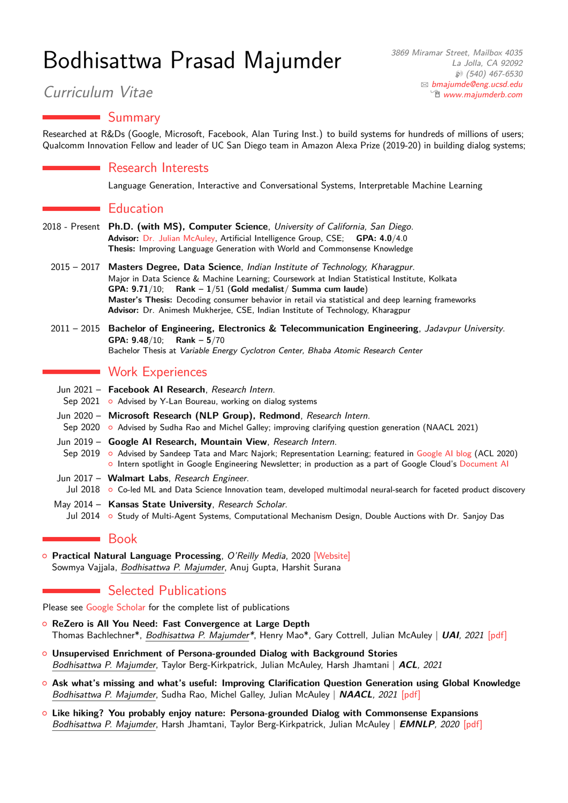# Bodhisattwa Prasad Majumder

## Summary

Researched at R&Ds (Google, Microsoft, Facebook, Alan Turing Inst.) to build systems for hundreds of millions of users; Qualcomm Innovation Fellow and leader of UC San Diego team in Amazon Alexa Prize (2019-20) in building dialog systems;

#### Research Interests

Language Generation, Interactive and Conversational Systems, Interpretable Machine Learning

### $\blacksquare$  Education

- 2018 Present **Ph.D. (with MS), Computer Science**, University of California, San Diego. **Advisor:** [Dr. Julian McAuley,](https://cseweb.ucsd.edu/~jmcauley/) Artificial Intelligence Group, CSE; **GPA: 4.0**/4.0 **Thesis:** Improving Language Generation with World and Commonsense Knowledge
	- 2015 2017 **Masters Degree, Data Science**, Indian Institute of Technology, Kharagpur. Major in Data Science & Machine Learning; Coursework at Indian Statistical Institute, Kolkata **GPA: 9.71**/10; **Rank – 1**/51 (**Gold medalist**/ **Summa cum laude**) **Master's Thesis:** Decoding consumer behavior in retail via statistical and deep learning frameworks **Advisor:** Dr. Animesh Mukherjee, CSE, Indian Institute of Technology, Kharagpur
	- 2011 2015 **Bachelor of Engineering, Electronics & Telecommunication Engineering**, Jadavpur University. **GPA: 9.48**/10; **Rank – 5**/70 Bachelor Thesis at Variable Energy Cyclotron Center, Bhaba Atomic Research Center

## **Work Experiences**

- Jun 2021 **Facebook AI Research**, Research Intern.
- Sep 2021 Advised by Y-Lan Boureau, working on dialog systems
- Jun 2020 **Microsoft Research (NLP Group), Redmond**, Research Intern.
- Sep 2020 o Advised by Sudha Rao and Michel Galley; improving clarifying question generation (NAACL 2021)
- Jun 2019 **Google AI Research, Mountain View**, Research Intern.
	- Sep 2019 o Advised by Sandeep Tata and Marc Najork; Representation Learning; featured in [Google AI blog](https://ai.googleblog.com/2020/06/extracting-structured-data-from.html) (ACL 2020) { Intern spotlight in Google Engineering Newsletter; in production as a part of Google Cloud's [Document AI](https://cloud.google.com/solutions/document-ai/)
- Jun 2017 **Walmart Labs**, Research Engineer.
- Jul 2018 o Co-led ML and Data Science Innovation team, developed multimodal neural-search for faceted product discovery
- May 2014 Kansas State University, Research Scholar. Jul 2014 { Study of Multi-Agent Systems, Computational Mechanism Design, Double Auctions with Dr. Sanjoy Das

#### Book

**o Practical Natural Language Processing**, O'Reilly Media, 2020 [\[Website\]](http://www.practicalnlp.ai/) Sowmya Vajjala, Bodhisattwa P. Majumder, Anuj Gupta, Harshit Surana

# Selected Publications

Please see [Google Scholar](https://scholar.google.com/citations?user=DKXMutUAAAAJ&hl=en) for the complete list of publications

- { **ReZero is All You Need: Fast Convergence at Large Depth** Thomas Bachlechner\*, Bodhisattwa P. Majumder\*, Henry Mao\*, Gary Cottrell, Julian McAuley | **UAI**, 2021 [\[pdf\]](https://arxiv.org/pdf/2003.04887.pdf)
- { **Unsupervised Enrichment of Persona-grounded Dialog with Background Stories** Bodhisattwa P. Majumder, Taylor Berg-Kirkpatrick, Julian McAuley, Harsh Jhamtani | **ACL**, 2021
- { **Ask what's missing and what's useful: Improving Clarification Question Generation using Global Knowledge** Bodhisattwa P. Majumder, Sudha Rao, Michel Galley, Julian McAuley | **NAACL**, 2021 [\[pdf\]](https://arxiv.org/pdf/2104.06828.pdf)
- { **Like hiking? You probably enjoy nature: Persona-grounded Dialog with Commonsense Expansions** Bodhisattwa P. Majumder, Harsh Jhamtani, Taylor Berg-Kirkpatrick, Julian McAuley | **EMNLP**, 2020 [\[pdf\]](https://arxiv.org/pdf/2010.03205.pdf)